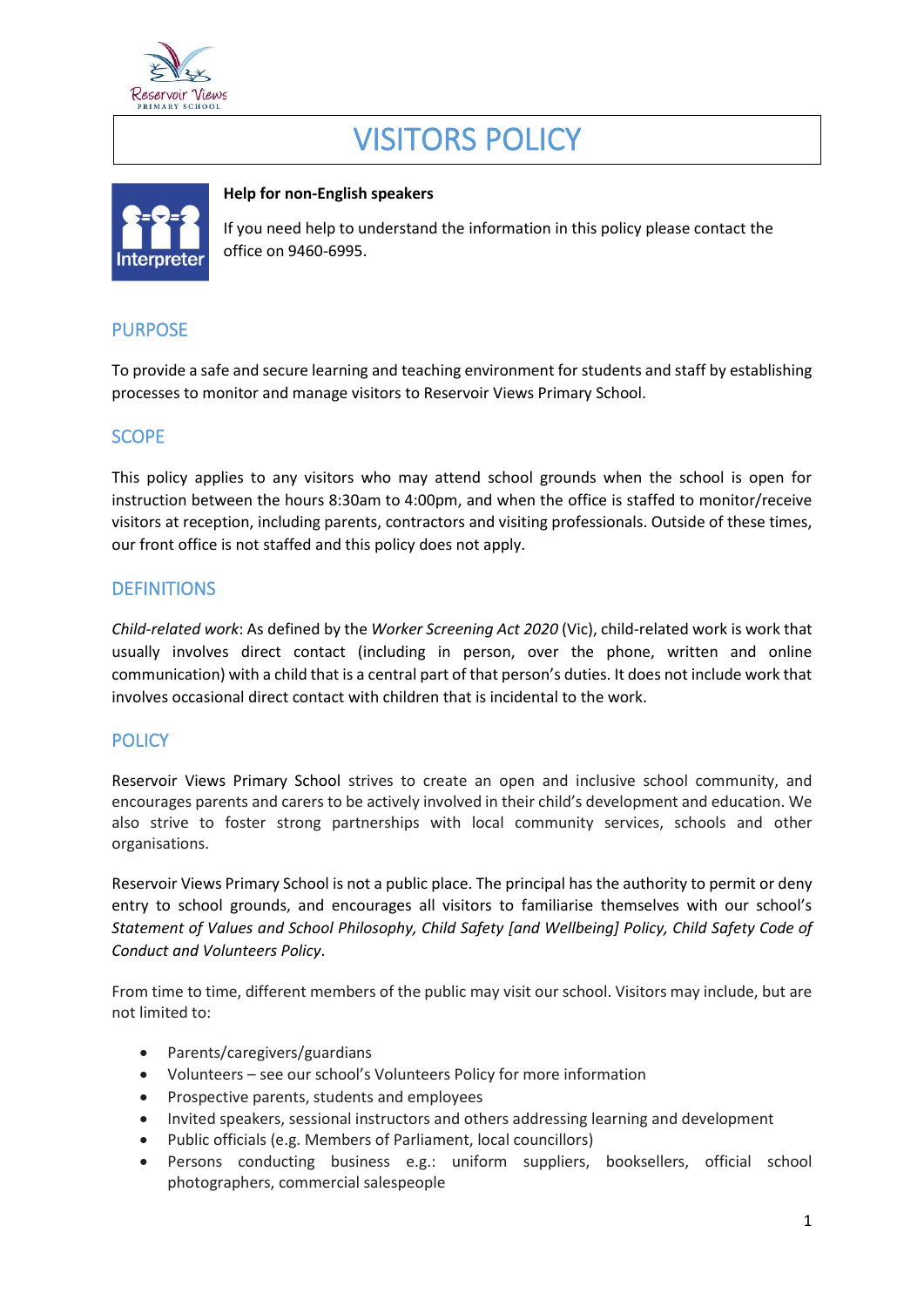

# VISITORS POLICY



#### **Help for non-English speakers**

If you need help to understand the information in this policy please contact the office on 9460-6995.

# PURPOSE

To provide a safe and secure learning and teaching environment for students and staff by establishing processes to monitor and manage visitors to Reservoir Views Primary School.

# SCOPE

This policy applies to any visitors who may attend school grounds when the school is open for instruction between the hours 8:30am to 4:00pm, and when the office is staffed to monitor/receive visitors at reception, including parents, contractors and visiting professionals. Outside of these times, our front office is not staffed and this policy does not apply.

## **DEFINITIONS**

*Child-related work*: As defined by the *Worker Screening Act 2020* (Vic), child-related work is work that usually involves direct contact (including in person, over the phone, written and online communication) with a child that is a central part of that person's duties. It does not include work that involves occasional direct contact with children that is incidental to the work.

## **POLICY**

Reservoir Views Primary School strives to create an open and inclusive school community, and encourages parents and carers to be actively involved in their child's development and education. We also strive to foster strong partnerships with local community services, schools and other organisations.

Reservoir Views Primary School is not a public place. The principal has the authority to permit or deny entry to school grounds, and encourages all visitors to familiarise themselves with our school's *Statement of Values and School Philosophy, Child Safety [and Wellbeing] Policy, Child Safety Code of Conduct and Volunteers Policy*.

From time to time, different members of the public may visit our school. Visitors may include, but are not limited to:

- Parents/caregivers/guardians
- Volunteers see our school's Volunteers Policy for more information
- Prospective parents, students and employees
- Invited speakers, sessional instructors and others addressing learning and development
- Public officials (e.g. Members of Parliament, local councillors)
- Persons conducting business e.g.: uniform suppliers, booksellers, official school photographers, commercial salespeople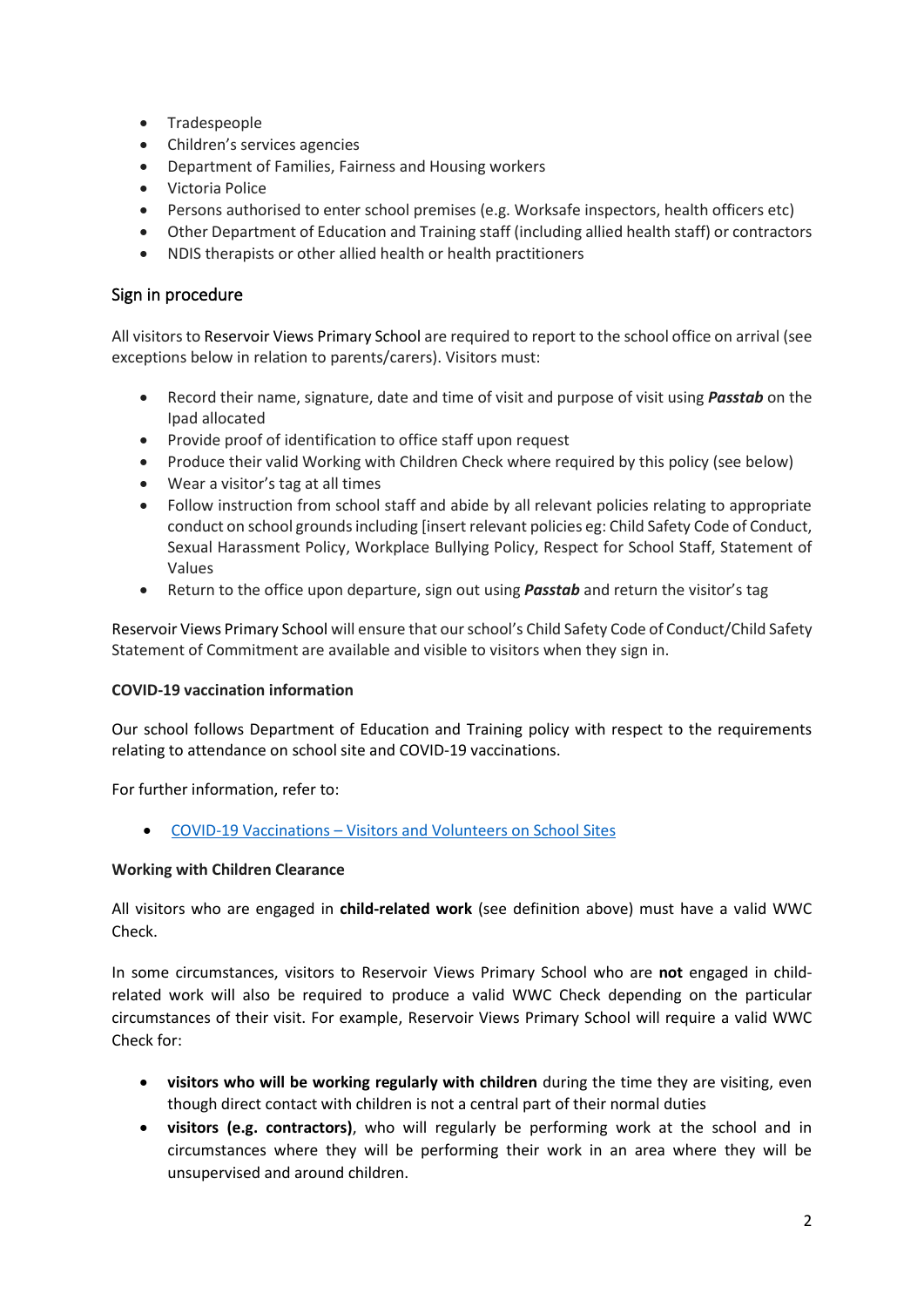- Tradespeople
- Children's services agencies
- Department of Families, Fairness and Housing workers
- Victoria Police
- Persons authorised to enter school premises (e.g. Worksafe inspectors, health officers etc)
- Other Department of Education and Training staff (including allied health staff) or contractors
- NDIS therapists or other allied health or health practitioners

#### Sign in procedure

All visitors to Reservoir Views Primary School are required to report to the school office on arrival (see exceptions below in relation to parents/carers). Visitors must:

- Record their name, signature, date and time of visit and purpose of visit using *Passtab* on the Ipad allocated
- Provide proof of identification to office staff upon request
- Produce their valid Working with Children Check where required by this policy (see below)
- Wear a visitor's tag at all times
- Follow instruction from school staff and abide by all relevant policies relating to appropriate conduct on school grounds including [insert relevant policies eg: Child Safety Code of Conduct, Sexual Harassment Policy, Workplace Bullying Policy, Respect for School Staff, Statement of Values
- Return to the office upon departure, sign out using *Passtab* and return the visitor's tag

Reservoir Views Primary School will ensure that our school's Child Safety Code of Conduct/Child Safety Statement of Commitment are available and visible to visitors when they sign in.

#### **COVID-19 vaccination information**

Our school follows Department of Education and Training policy with respect to the requirements relating to attendance on school site and COVID-19 vaccinations.

For further information, refer to:

• COVID-19 Vaccinations – [Visitors and Volunteers on School Sites](https://www2.education.vic.gov.au/pal/covid-19-vaccinations-visitors-volunteers/policy)

#### **Working with Children Clearance**

All visitors who are engaged in **child-related work** (see definition above) must have a valid WWC Check.

In some circumstances, visitors to Reservoir Views Primary School who are **not** engaged in childrelated work will also be required to produce a valid WWC Check depending on the particular circumstances of their visit. For example, Reservoir Views Primary School will require a valid WWC Check for:

- **visitors who will be working regularly with children** during the time they are visiting, even though direct contact with children is not a central part of their normal duties
- **visitors (e.g. contractors)**, who will regularly be performing work at the school and in circumstances where they will be performing their work in an area where they will be unsupervised and around children.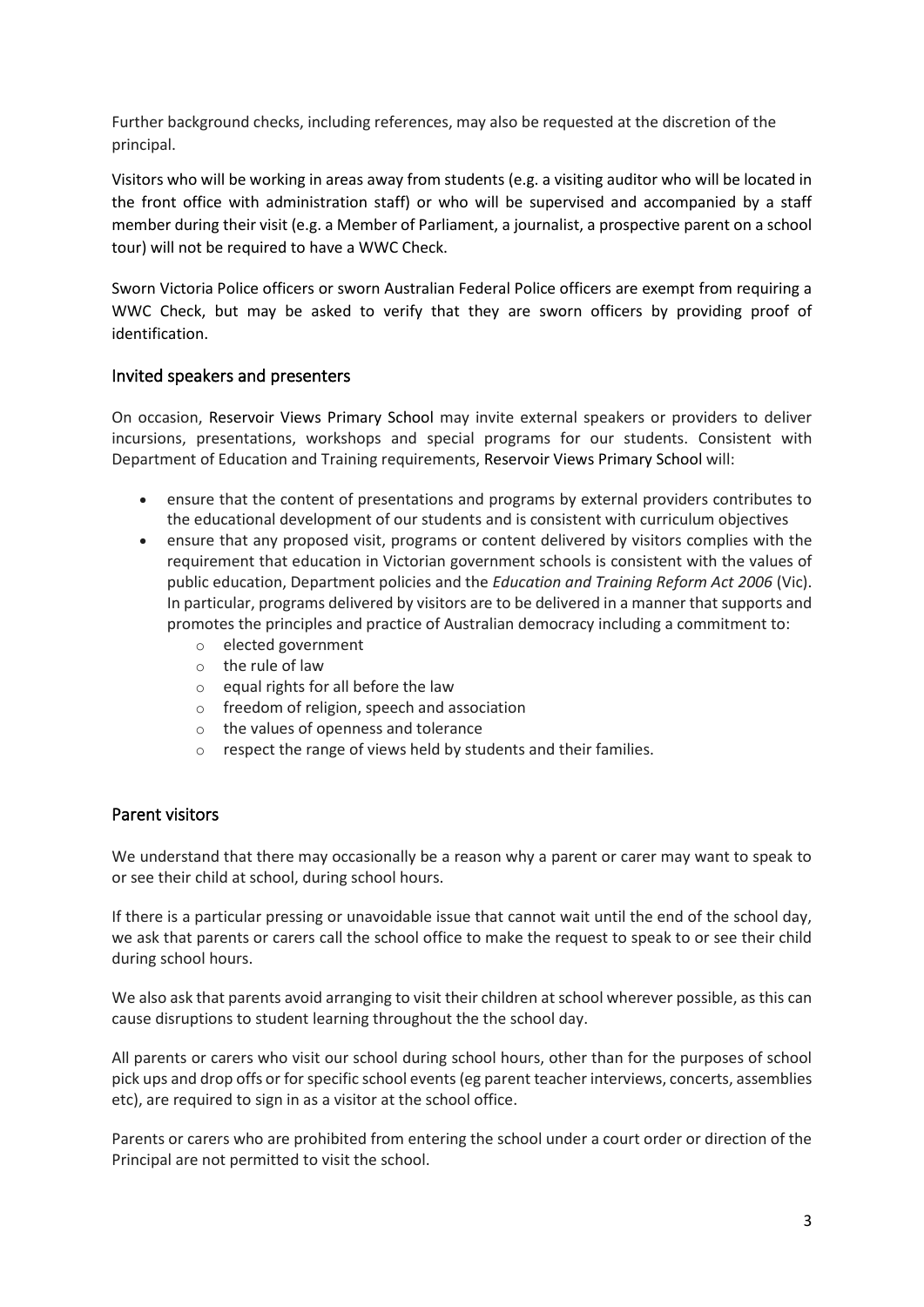Further background checks, including references, may also be requested at the discretion of the principal.

Visitors who will be working in areas away from students (e.g. a visiting auditor who will be located in the front office with administration staff) or who will be supervised and accompanied by a staff member during their visit (e.g. a Member of Parliament, a journalist, a prospective parent on a school tour) will not be required to have a WWC Check.

Sworn Victoria Police officers or sworn Australian Federal Police officers are exempt from requiring a WWC Check, but may be asked to verify that they are sworn officers by providing proof of identification.

#### Invited speakers and presenters

On occasion, Reservoir Views Primary School may invite external speakers or providers to deliver incursions, presentations, workshops and special programs for our students. Consistent with Department of Education and Training requirements, Reservoir Views Primary School will:

- ensure that the content of presentations and programs by external providers contributes to the educational development of our students and is consistent with curriculum objectives
- ensure that any proposed visit, programs or content delivered by visitors complies with the requirement that education in Victorian government schools is consistent with the values of public education, Department policies and the *Education and Training Reform Act 2006* (Vic). In particular, programs delivered by visitors are to be delivered in a manner that supports and promotes the principles and practice of Australian democracy including a commitment to:
	- o elected government
	- o the rule of law
	- o equal rights for all before the law
	- o freedom of religion, speech and association
	- o the values of openness and tolerance
	- o respect the range of views held by students and their families.

#### Parent visitors

We understand that there may occasionally be a reason why a parent or carer may want to speak to or see their child at school, during school hours.

If there is a particular pressing or unavoidable issue that cannot wait until the end of the school day, we ask that parents or carers call the school office to make the request to speak to or see their child during school hours.

We also ask that parents avoid arranging to visit their children at school wherever possible, as this can cause disruptions to student learning throughout the the school day.

All parents or carers who visit our school during school hours, other than for the purposes of school pick ups and drop offs or for specific school events (eg parent teacher interviews, concerts, assemblies etc), are required to sign in as a visitor at the school office.

Parents or carers who are prohibited from entering the school under a court order or direction of the Principal are not permitted to visit the school.